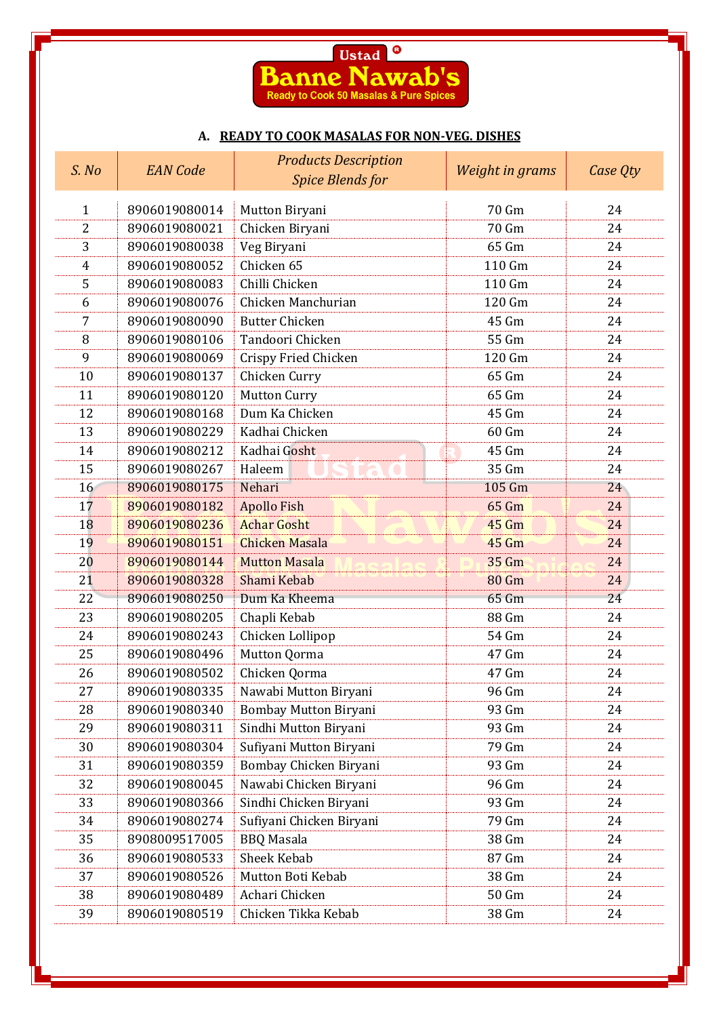

## **A. READY TO COOK MASALAS FOR NON-VEG. DISHES**

| S. No          | <b>EAN</b> Code | <b>Products Description</b> | Weight in grams | Case Qty |  |
|----------------|-----------------|-----------------------------|-----------------|----------|--|
|                |                 | <b>Spice Blends for</b>     |                 |          |  |
| $\mathbf{1}$   | 8906019080014   | Mutton Biryani              | 70 Gm           | 24       |  |
| $\overline{2}$ | 8906019080021   | Chicken Biryani             | 70 Gm           | 24       |  |
| 3              | 8906019080038   | Veg Biryani                 | 65 Gm           | 24       |  |
| 4              | 8906019080052   | Chicken 65                  | 110 Gm          | 24       |  |
| 5              | 8906019080083   | Chilli Chicken              | 110 Gm          | 24       |  |
| 6              | 8906019080076   | Chicken Manchurian          | 120 Gm          | 24       |  |
| 7              | 8906019080090   | <b>Butter Chicken</b>       | 45 Gm           | 24       |  |
| 8              | 8906019080106   | Tandoori Chicken            | 55 Gm           | 24       |  |
| 9              | 8906019080069   | <b>Crispy Fried Chicken</b> | 120 Gm          | 24       |  |
| 10             | 8906019080137   | Chicken Curry               | 65 Gm           | 24       |  |
| 11             | 8906019080120   | <b>Mutton Curry</b>         | 65 Gm           | 24       |  |
| 12             | 8906019080168   | Dum Ka Chicken              | 45 Gm           | 24       |  |
| 13             | 8906019080229   | Kadhai Chicken              | 60 Gm           | 24       |  |
| 14             | 8906019080212   | Kadhai Gosht                | 45 Gm           | 24       |  |
| 15             | 8906019080267   | Haleem                      | 35 Gm           | 24       |  |
| 16             | 8906019080175   | Nehari                      | 105 Gm          | 24       |  |
| 17             | 8906019080182   | <b>Apollo Fish</b>          | 65 Gm           | 24       |  |
| 18             | 8906019080236   | <b>Achar Gosht</b>          | <b>45 Gm</b>    | 24       |  |
| 19             | 8906019080151   | <b>Chicken Masala</b>       | <b>45 Gm</b>    | 24       |  |
| 20             | 8906019080144   | <b>Mutton Masala</b>        | 35 Gm           | 24       |  |
| 21             | 8906019080328   | Shami Kebab                 | <b>80 Gm</b>    | 24       |  |
| 22             | 8906019080250   | Dum Ka Kheema               | 65 Gm           | 24       |  |
| 23             | 8906019080205   | Chapli Kebab                | 88 Gm           | 24       |  |
| 24             | 8906019080243   | Chicken Lollipop            | 54 Gm           | 24       |  |
| 25             | 8906019080496   | Mutton Qorma                | 47 Gm           | 24       |  |
| 26             | 8906019080502   | Chicken Qorma               | 47 Gm           | 24       |  |
| 27             | 8906019080335   | Nawabi Mutton Biryani       | 96 Gm           | 24       |  |
| 28             | 8906019080340   | Bombay Mutton Biryani       | 93 Gm           | 24       |  |
| 29             | 8906019080311   | Sindhi Mutton Biryani       | 93 Gm           | 24       |  |
| 30             | 8906019080304   | Sufiyani Mutton Biryani     | 79 Gm           | 24       |  |
| 31             | 8906019080359   | Bombay Chicken Biryani      | 93 Gm           | 24       |  |
| 32             | 8906019080045   | Nawabi Chicken Biryani      | 96 Gm           | 24       |  |
| 33             | 8906019080366   | Sindhi Chicken Biryani      | 93 Gm           | 24       |  |
| 34             | 8906019080274   | Sufiyani Chicken Biryani    | 79 Gm           | 24       |  |
| 35             | 8908009517005   | <b>BBQ</b> Masala           | 38 Gm           | 24       |  |
| 36             | 8906019080533   | Sheek Kebab                 | 87 Gm           | 24       |  |
| 37             | 8906019080526   | Mutton Boti Kebab           | 38 Gm           | 24       |  |
| 38             | 8906019080489   | Achari Chicken              | 50 Gm           | 24       |  |
| 39             | 8906019080519   | Chicken Tikka Kebab         | 38 Gm           | 24       |  |